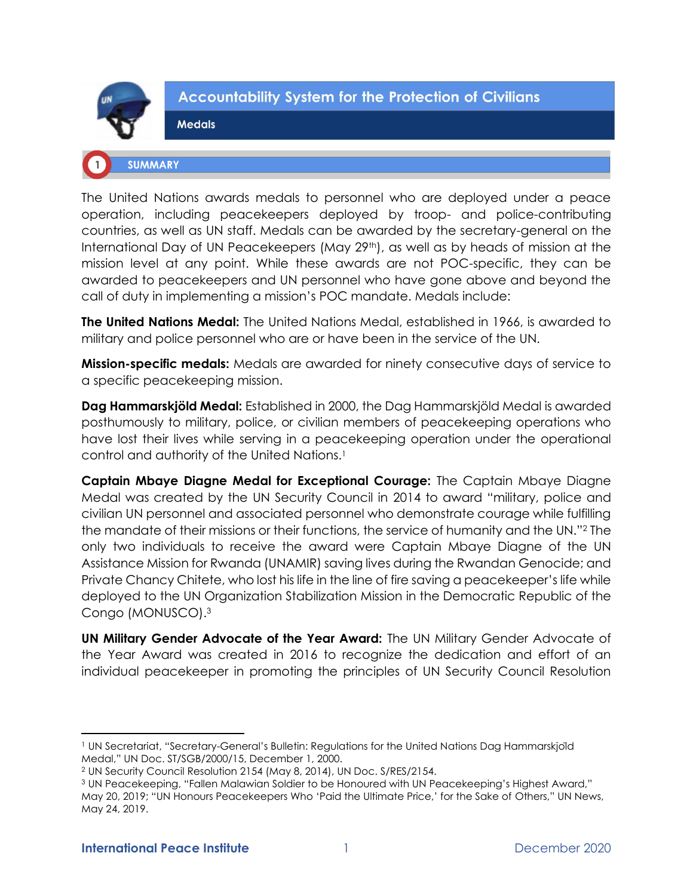

## **Accountability System for the Protection of Civilians**

# **SUMMARY**

**Medals** 

The United Nations awards medals to personnel who are deployed under a peace operation, including peacekeepers deployed by troop- and police-contributing countries, as well as UN staff. Medals can be awarded by the secretary-general on the International Day of UN Peacekeepers (May 29th), as well as by heads of mission at the mission level at any point. While these awards are not POC-specific, they can be awarded to peacekeepers and UN personnel who have gone above and beyond the call of duty in implementing a mission's POC mandate. Medals include:

**The United Nations Medal:** The United Nations Medal, established in 1966, is awarded to military and police personnel who are or have been in the service of the UN.

**Mission-specific medals:** Medals are awarded for ninety consecutive days of service to a specific peacekeeping mission.

**Dag Hammarskjöld Medal:** Established in 2000, the Dag Hammarskjöld Medal is awarded posthumously to military, police, or civilian members of peacekeeping operations who have lost their lives while serving in a peacekeeping operation under the operational control and authority of the United Nations.<sup>1</sup>

**Captain Mbaye Diagne Medal for Exceptional Courage:** The Captain Mbaye Diagne Medal was created by the UN Security Council in 2014 to award "military, police and civilian UN personnel and associated personnel who demonstrate courage while fulfilling the mandate of their missions or their functions, the service of humanity and the UN."<sup>2</sup> The only two individuals to receive the award were Captain Mbaye Diagne of the UN Assistance Mission for Rwanda (UNAMIR) saving lives during the Rwandan Genocide; and Private Chancy Chitete, who lost his life in the line of fire saving a peacekeeper's life while deployed to the UN Organization Stabilization Mission in the Democratic Republic of the Congo (MONUSCO).<sup>3</sup>

**UN Military Gender Advocate of the Year Award:** The UN Military Gender Advocate of the Year Award was created in 2016 to recognize the dedication and effort of an individual peacekeeper in promoting the principles of UN Security Council Resolution

<sup>&</sup>lt;sup>1</sup> UN Secretariat, "Secretary-General's Bulletin: Regulations for the United Nations Dag Hammarskjoïd Medal," UN Doc. ST/SGB/2000/15, December 1, 2000.

<sup>2</sup> UN Security Council Resolution 2154 (May 8, 2014), UN Doc. S/RES/2154.

<sup>&</sup>lt;sup>3</sup> UN Peacekeeping, "Fallen Malawian Soldier to be Honoured with UN Peacekeeping's Highest Award," May 20, 2019; "UN Honours Peacekeepers Who 'Paid the Ultimate Price,' for the Sake of Others," UN News, May 24, 2019.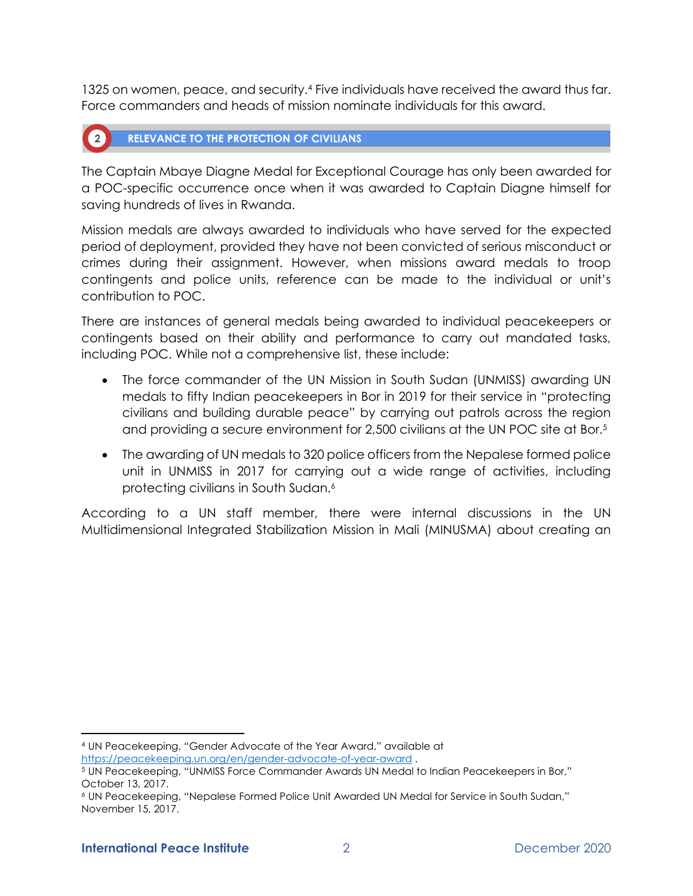1325 on women, peace, and security.<sup>4</sup> Five individuals have received the award thus far. Force commanders and heads of mission nominate individuals for this award.

#### **RELEVANCE TO THE PROTECTION OF CIVILIANS**  $\left( 2 \right)$

The Captain Mbaye Diagne Medal for Exceptional Courage has only been awarded for a POC-specific occurrence once when it was awarded to Captain Diagne himself for saving hundreds of lives in Rwanda.

Mission medals are always awarded to individuals who have served for the expected period of deployment, provided they have not been convicted of serious misconduct or crimes during their assignment. However, when missions award medals to troop contingents and police units, reference can be made to the individual or unit's contribution to POC.

There are instances of general medals being awarded to individual peacekeepers or contingents based on their ability and performance to carry out mandated tasks, including POC. While not a comprehensive list, these include:

- The force commander of the UN Mission in South Sudan (UNMISS) awarding UN medals to fifty Indian peacekeepers in Bor in 2019 for their service in "protecting civilians and building durable peace" by carrying out patrols across the region and providing a secure environment for 2,500 civilians at the UN POC site at Bor.<sup>5</sup>
- The awarding of UN medals to 320 police officers from the Nepalese formed police unit in UNMISS in 2017 for carrying out a wide range of activities, including protecting civilians in South Sudan.<sup>6</sup>

According to a UN staff member, there were internal discussions in the UN Multidimensional Integrated Stabilization Mission in Mali (MINUSMA) about creating an

<sup>4</sup> UN Peacekeeping, "Gender Advocate of the Year Award," available at

<https://peacekeeping.un.org/en/gender-advocate-of-year-award> .

<sup>5</sup> UN Peacekeeping, "UNMISS Force Commander Awards UN Medal to Indian Peacekeepers in Bor," October 13, 2017.

<sup>6</sup> UN Peacekeeping, "Nepalese Formed Police Unit Awarded UN Medal for Service in South Sudan," November 15, 2017.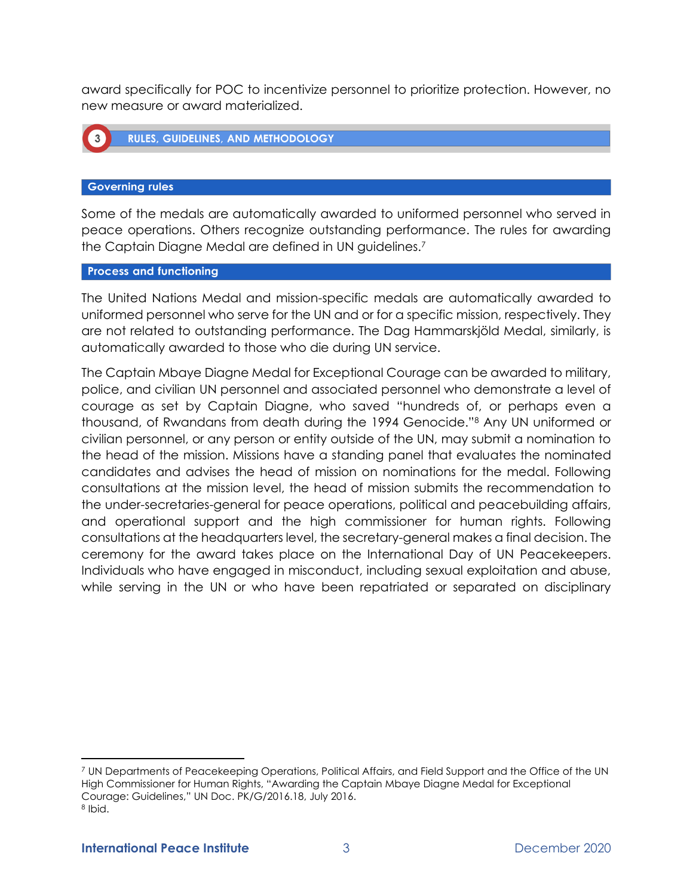award specifically for POC to incentivize personnel to prioritize protection. However, no new measure or award materialized.



#### **Governing rules**

Some of the medals are automatically awarded to uniformed personnel who served in peace operations. Others recognize outstanding performance. The rules for awarding the Captain Diagne Medal are defined in UN guidelines.<sup>7</sup>

#### **Process and functioning**

The United Nations Medal and mission-specific medals are automatically awarded to uniformed personnel who serve for the UN and or for a specific mission, respectively. They are not related to outstanding performance. The Dag Hammarskjöld Medal, similarly, is automatically awarded to those who die during UN service.

The Captain Mbaye Diagne Medal for Exceptional Courage can be awarded to military, police, and civilian UN personnel and associated personnel who demonstrate a level of courage as set by Captain Diagne, who saved "hundreds of, or perhaps even a thousand, of Rwandans from death during the 1994 Genocide."<sup>8</sup> Any UN uniformed or civilian personnel, or any person or entity outside of the UN, may submit a nomination to the head of the mission. Missions have a standing panel that evaluates the nominated candidates and advises the head of mission on nominations for the medal. Following consultations at the mission level, the head of mission submits the recommendation to the under-secretaries-general for peace operations, political and peacebuilding affairs, and operational support and the high commissioner for human rights. Following consultations at the headquarters level, the secretary-general makes a final decision. The ceremony for the award takes place on the International Day of UN Peacekeepers. Individuals who have engaged in misconduct, including sexual exploitation and abuse, while serving in the UN or who have been repatriated or separated on disciplinary

<sup>7</sup> UN Departments of Peacekeeping Operations, Political Affairs, and Field Support and the Office of the UN High Commissioner for Human Rights, "Awarding the Captain Mbaye Diagne Medal for Exceptional Courage: Guidelines," UN Doc. PK/G/2016.18, July 2016. 8 Ibid.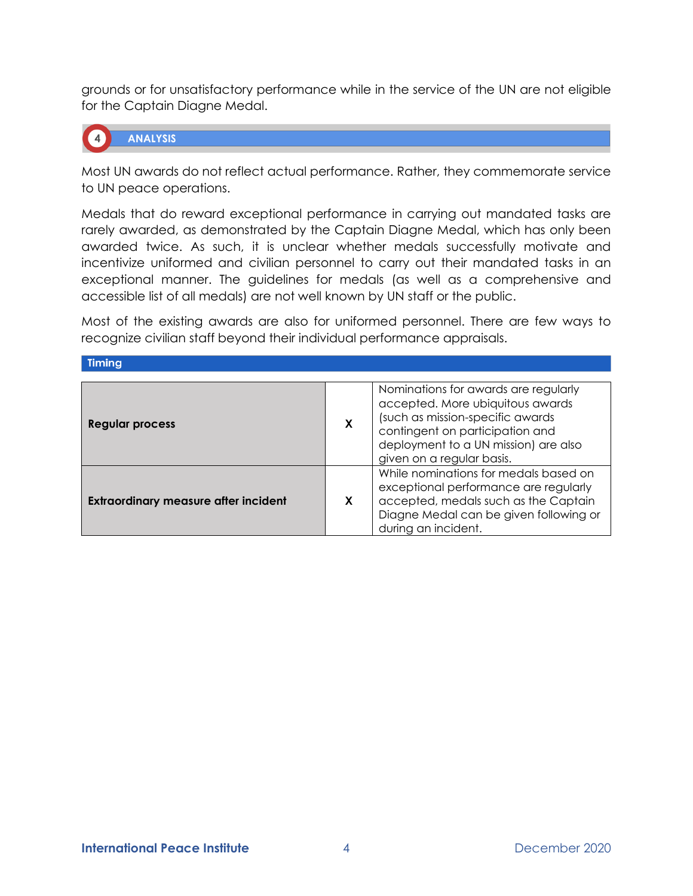grounds or for unsatisfactory performance while in the service of the UN are not eligible for the Captain Diagne Medal.



**ANALYSIS** 

Most UN awards do not reflect actual performance. Rather, they commemorate service to UN peace operations.

Medals that do reward exceptional performance in carrying out mandated tasks are rarely awarded, as demonstrated by the Captain Diagne Medal, which has only been awarded twice. As such, it is unclear whether medals successfully motivate and incentivize uniformed and civilian personnel to carry out their mandated tasks in an exceptional manner. The guidelines for medals (as well as a comprehensive and accessible list of all medals) are not well known by UN staff or the public.

Most of the existing awards are also for uniformed personnel. There are few ways to recognize civilian staff beyond their individual performance appraisals.

Timing

| <b>Regular process</b>                      | X | Nominations for awards are regularly<br>accepted. More ubiquitous awards<br>(such as mission-specific awards<br>contingent on participation and<br>deployment to a UN mission) are also<br>given on a regular basis. |
|---------------------------------------------|---|----------------------------------------------------------------------------------------------------------------------------------------------------------------------------------------------------------------------|
| <b>Extraordinary measure after incident</b> | X | While nominations for medals based on<br>exceptional performance are regularly<br>accepted, medals such as the Captain<br>Diagne Medal can be given following or<br>during an incident.                              |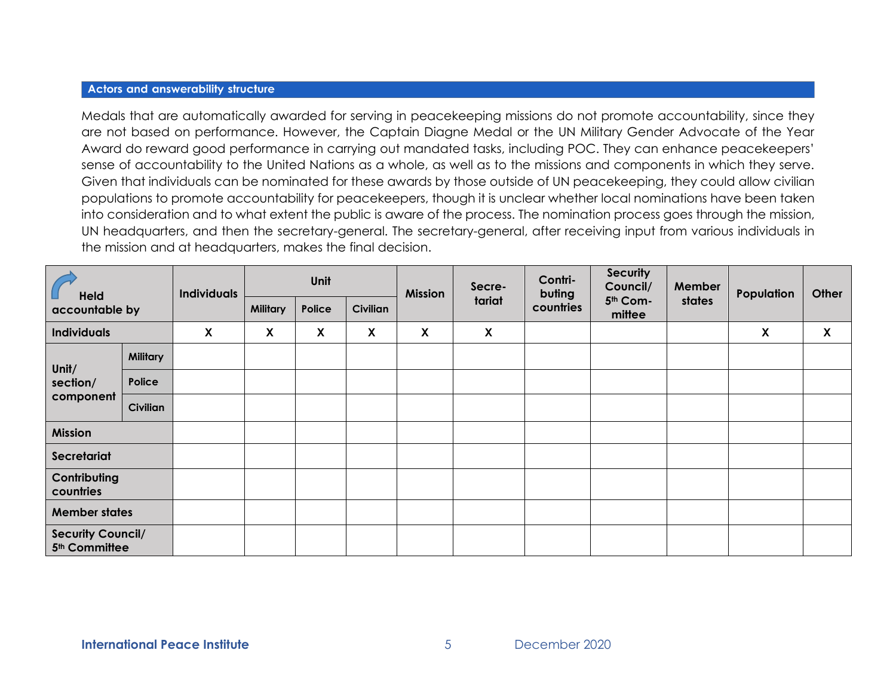#### **Actors and answerability structure**

Medals that are automatically awarded for serving in peacekeeping missions do not promote accountability, since they are not based on performance. However, the Captain Diagne Medal or the UN Military Gender Advocate of the Year Award do reward good performance in carrying out mandated tasks, including POC. They can enhance peacekeepers' sense of accountability to the United Nations as a whole, as well as to the missions and components in which they serve. Given that individuals can be nominated for these awards by those outside of UN peacekeeping, they could allow civilian populations to promote accountability for peacekeepers, though it is unclear whether local nominations have been taken into consideration and to what extent the public is aware of the process. The nomination process goes through the mission, UN headquarters, and then the secretary-general. The secretary-general, after receiving input from various individuals in the mission and at headquarters, makes the final decision.

| Held<br>accountable by                                |                 | <b>Individuals</b> | Unit            |        |                 | <b>Mission</b> | Secre-                    | Contri-<br>buting | <b>Security</b><br>Council/ | Member | Population | Other |
|-------------------------------------------------------|-----------------|--------------------|-----------------|--------|-----------------|----------------|---------------------------|-------------------|-----------------------------|--------|------------|-------|
|                                                       |                 |                    | <b>Military</b> | Police | <b>Civilian</b> |                | tariat                    | countries         | 5th Com-<br>mittee          | states |            |       |
| <b>Individuals</b>                                    |                 | X                  | X               | X      | X               | X              | $\boldsymbol{\mathsf{X}}$ |                   |                             |        | X          | X     |
| Unit/<br>section/<br>component                        | <b>Military</b> |                    |                 |        |                 |                |                           |                   |                             |        |            |       |
|                                                       | Police          |                    |                 |        |                 |                |                           |                   |                             |        |            |       |
|                                                       | Civilian        |                    |                 |        |                 |                |                           |                   |                             |        |            |       |
| <b>Mission</b>                                        |                 |                    |                 |        |                 |                |                           |                   |                             |        |            |       |
| Secretariat                                           |                 |                    |                 |        |                 |                |                           |                   |                             |        |            |       |
| Contributing<br>countries                             |                 |                    |                 |        |                 |                |                           |                   |                             |        |            |       |
| <b>Member states</b>                                  |                 |                    |                 |        |                 |                |                           |                   |                             |        |            |       |
| <b>Security Council/</b><br>5 <sup>th</sup> Committee |                 |                    |                 |        |                 |                |                           |                   |                             |        |            |       |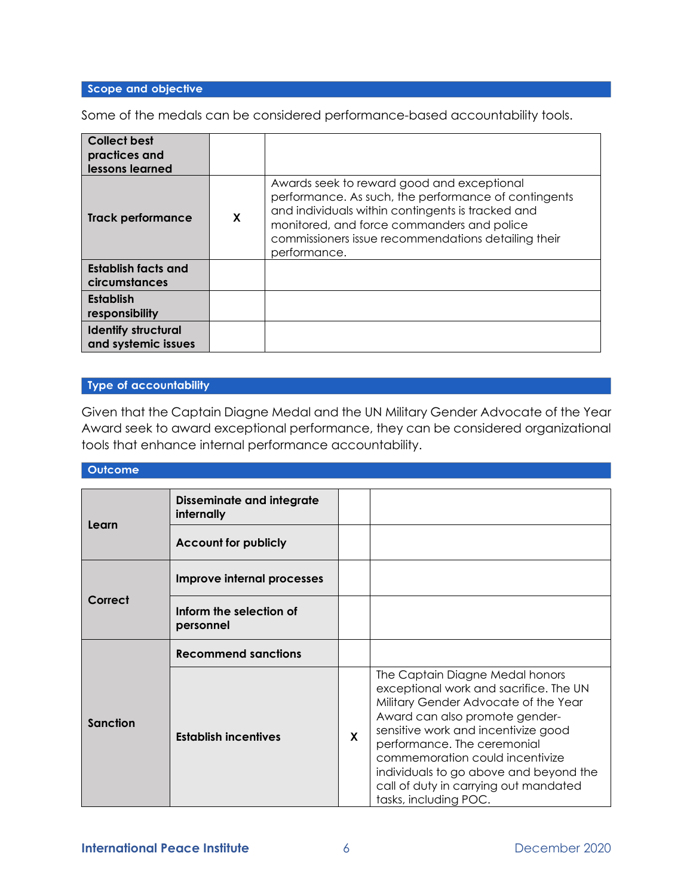### Scope and objective

Some of the medals can be considered performance-based accountability tools.

| <b>Collect best</b><br>practices and<br>lessons learned |   |                                                                                                                                                                                                                                                                              |
|---------------------------------------------------------|---|------------------------------------------------------------------------------------------------------------------------------------------------------------------------------------------------------------------------------------------------------------------------------|
| <b>Track performance</b>                                | X | Awards seek to reward good and exceptional<br>performance. As such, the performance of contingents<br>and individuals within contingents is tracked and<br>monitored, and force commanders and police<br>commissioners issue recommendations detailing their<br>performance. |
| <b>Establish facts and</b><br>circumstances             |   |                                                                                                                                                                                                                                                                              |
| <b>Establish</b><br>responsibility                      |   |                                                                                                                                                                                                                                                                              |
| <b>Identify structural</b><br>and systemic issues       |   |                                                                                                                                                                                                                                                                              |

#### Type of accountability

Given that the Captain Diagne Medal and the UN Military Gender Advocate of the Year Award seek to award exceptional performance, they can be considered organizational tools that enhance internal performance accountability.

#### Outcome

| Learn           | <b>Disseminate and integrate</b><br>internally |              |                                                                                                                                                                                                                                                                                                                                                                          |
|-----------------|------------------------------------------------|--------------|--------------------------------------------------------------------------------------------------------------------------------------------------------------------------------------------------------------------------------------------------------------------------------------------------------------------------------------------------------------------------|
|                 | <b>Account for publicly</b>                    |              |                                                                                                                                                                                                                                                                                                                                                                          |
|                 | Improve internal processes                     |              |                                                                                                                                                                                                                                                                                                                                                                          |
| Correct         | Inform the selection of<br>personnel           |              |                                                                                                                                                                                                                                                                                                                                                                          |
|                 | <b>Recommend sanctions</b>                     |              |                                                                                                                                                                                                                                                                                                                                                                          |
| <b>Sanction</b> | <b>Establish incentives</b>                    | $\mathbf{x}$ | The Captain Diagne Medal honors<br>exceptional work and sacrifice. The UN<br>Military Gender Advocate of the Year<br>Award can also promote gender-<br>sensitive work and incentivize good<br>performance. The ceremonial<br>commemoration could incentivize<br>individuals to go above and beyond the<br>call of duty in carrying out mandated<br>tasks, including POC. |